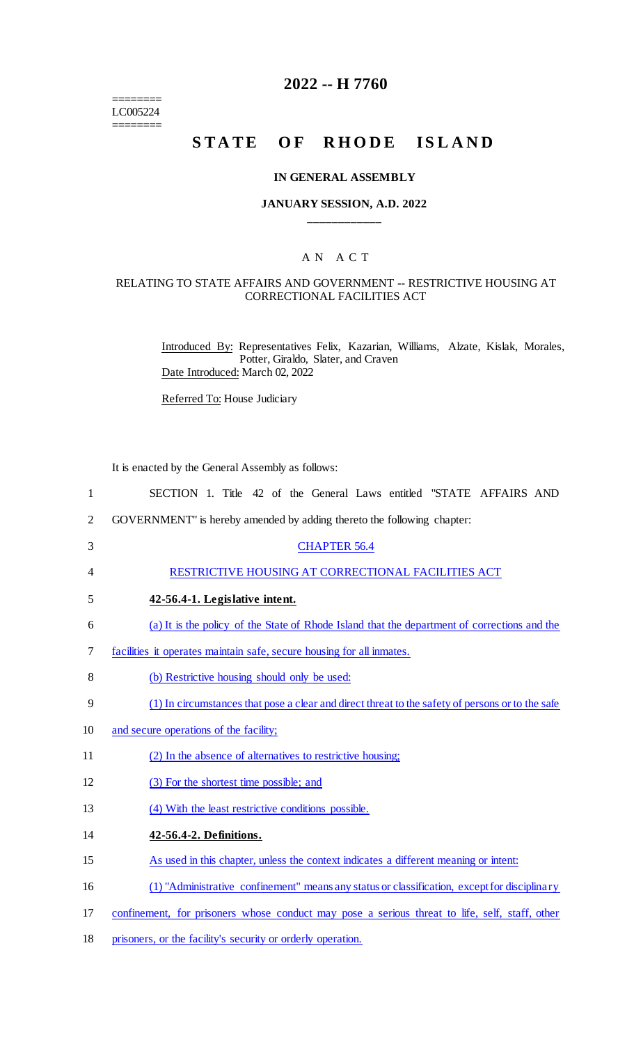======== LC005224 ========

# **2022 -- H 7760**

# **STATE OF RHODE ISLAND**

# **IN GENERAL ASSEMBLY**

# **JANUARY SESSION, A.D. 2022 \_\_\_\_\_\_\_\_\_\_\_\_**

# A N A C T

## RELATING TO STATE AFFAIRS AND GOVERNMENT -- RESTRICTIVE HOUSING AT CORRECTIONAL FACILITIES ACT

Introduced By: Representatives Felix, Kazarian, Williams, Alzate, Kislak, Morales, Potter, Giraldo, Slater, and Craven Date Introduced: March 02, 2022

Referred To: House Judiciary

It is enacted by the General Assembly as follows:

| $\mathbf{1}$   | SECTION 1. Title 42 of the General Laws entitled "STATE AFFAIRS AND                              |
|----------------|--------------------------------------------------------------------------------------------------|
| $\overline{2}$ | GOVERNMENT" is hereby amended by adding thereto the following chapter:                           |
| 3              | <b>CHAPTER 56.4</b>                                                                              |
| 4              | RESTRICTIVE HOUSING AT CORRECTIONAL FACILITIES ACT                                               |
| 5              | 42-56.4-1. Legislative intent.                                                                   |
| 6              | (a) It is the policy of the State of Rhode Island that the department of corrections and the     |
| 7              | facilities it operates maintain safe, secure housing for all inmates.                            |
| $8\,$          | (b) Restrictive housing should only be used:                                                     |
| 9              | (1) In circumstances that pose a clear and direct threat to the safety of persons or to the safe |
| 10             | and secure operations of the facility;                                                           |
| 11             | (2) In the absence of alternatives to restrictive housing;                                       |
| 12             | (3) For the shortest time possible; and                                                          |
| 13             | (4) With the least restrictive conditions possible.                                              |
| 14             | 42-56.4-2. Definitions.                                                                          |
| 15             | As used in this chapter, unless the context indicates a different meaning or intent:             |
| 16             | (1) "Administrative confinement" means any status or classification, except for disciplinary     |
| 17             | confinement, for prisoners whose conduct may pose a serious threat to life, self, staff, other   |
| 18             | prisoners, or the facility's security or orderly operation.                                      |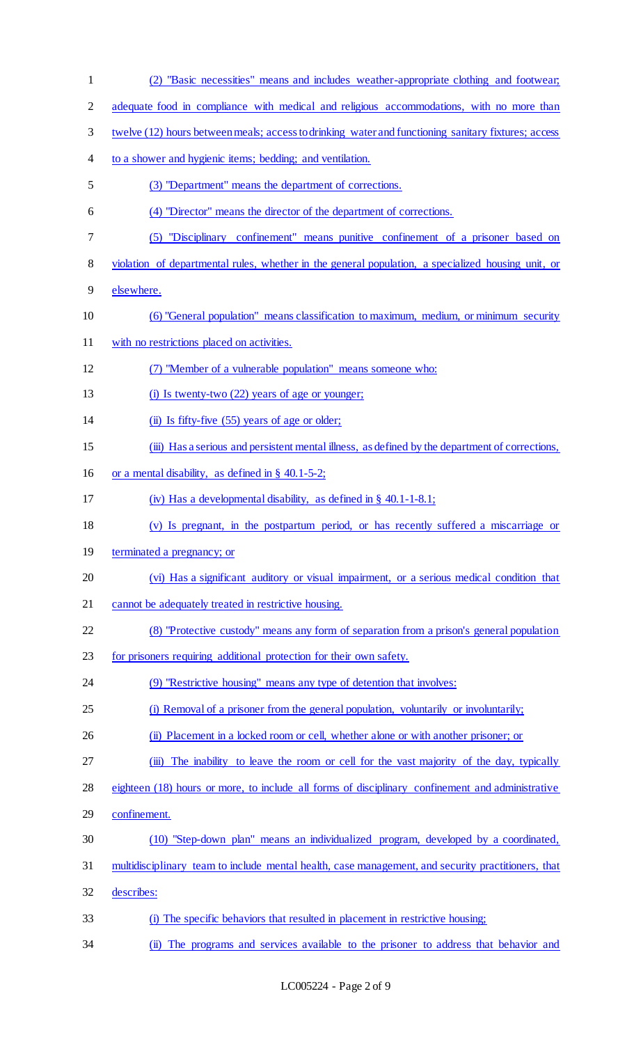(2) "Basic necessities" means and includes weather-appropriate clothing and footwear; adequate food in compliance with medical and religious accommodations, with no more than twelve (12) hours between meals; access to drinking water and functioning sanitary fixtures; access to a shower and hygienic items; bedding; and ventilation. (3) "Department" means the department of corrections. (4) "Director" means the director of the department of corrections. (5) "Disciplinary confinement" means punitive confinement of a prisoner based on violation of departmental rules, whether in the general population, a specialized housing unit, or elsewhere. (6) "General population" means classification to maximum, medium, or minimum security with no restrictions placed on activities. (7) "Member of a vulnerable population" means someone who: 13 (i) Is twenty-two (22) years of age or younger; 14 (ii) Is fifty-five (55) years of age or older; (iii) Has a serious and persistent mental illness, as defined by the department of corrections, or a mental disability, as defined in § 40.1-5-2; (iv) Has a developmental disability, as defined in § 40.1-1-8.1; (v) Is pregnant, in the postpartum period, or has recently suffered a miscarriage or terminated a pregnancy; or (vi) Has a significant auditory or visual impairment, or a serious medical condition that 21 cannot be adequately treated in restrictive housing. (8) "Protective custody" means any form of separation from a prison's general population for prisoners requiring additional protection for their own safety. 24 (9) "Restrictive housing" means any type of detention that involves: (i) Removal of a prisoner from the general population, voluntarily or involuntarily; (ii) Placement in a locked room or cell, whether alone or with another prisoner; or 27 (iii) The inability to leave the room or cell for the vast majority of the day, typically eighteen (18) hours or more, to include all forms of disciplinary confinement and administrative confinement. (10) "Step-down plan" means an individualized program, developed by a coordinated, multidisciplinary team to include mental health, case management, and security practitioners, that describes: (i) The specific behaviors that resulted in placement in restrictive housing; (ii) The programs and services available to the prisoner to address that behavior and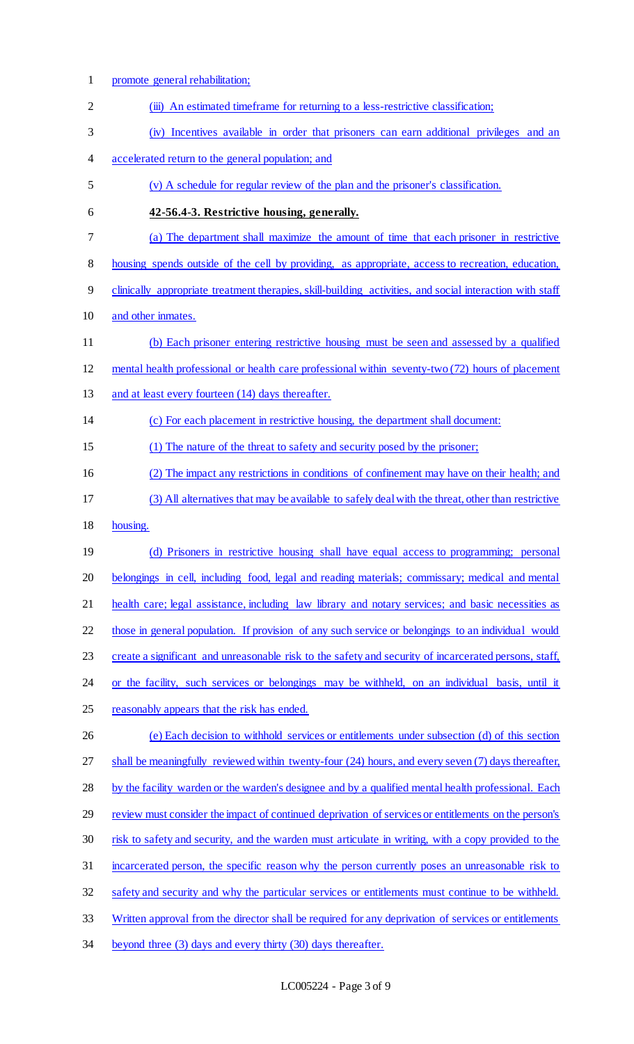promote general rehabilitation; 2 (iii) An estimated timeframe for returning to a less-restrictive classification; (iv) Incentives available in order that prisoners can earn additional privileges and an accelerated return to the general population; and (v) A schedule for regular review of the plan and the prisoner's classification. **42-56.4-3. Restrictive housing, generally.**  (a) The department shall maximize the amount of time that each prisoner in restrictive housing spends outside of the cell by providing, as appropriate, access to recreation, education, clinically appropriate treatment therapies, skill-building activities, and social interaction with staff and other inmates. (b) Each prisoner entering restrictive housing must be seen and assessed by a qualified mental health professional or health care professional within seventy-two (72) hours of placement 13 and at least every fourteen (14) days thereafter. (c) For each placement in restrictive housing, the department shall document: (1) The nature of the threat to safety and security posed by the prisoner; (2) The impact any restrictions in conditions of confinement may have on their health; and (3) All alternatives that may be available to safely deal with the threat, other than restrictive housing. (d) Prisoners in restrictive housing shall have equal access to programming; personal belongings in cell, including food, legal and reading materials; commissary; medical and mental 21 health care; legal assistance, including law library and notary services; and basic necessities as those in general population. If provision of any such service or belongings to an individual would 23 create a significant and unreasonable risk to the safety and security of incarcerated persons, staff, 24 or the facility, such services or belongings may be withheld, on an individual basis, until it reasonably appears that the risk has ended. (e) Each decision to withhold services or entitlements under subsection (d) of this section shall be meaningfully reviewed within twenty-four (24) hours, and every seven (7) days thereafter, 28 by the facility warden or the warden's designee and by a qualified mental health professional. Each review must consider the impact of continued deprivation of services or entitlements on the person's risk to safety and security, and the warden must articulate in writing, with a copy provided to the incarcerated person, the specific reason why the person currently poses an unreasonable risk to safety and security and why the particular services or entitlements must continue to be withheld. Written approval from the director shall be required for any deprivation of services or entitlements beyond three (3) days and every thirty (30) days thereafter.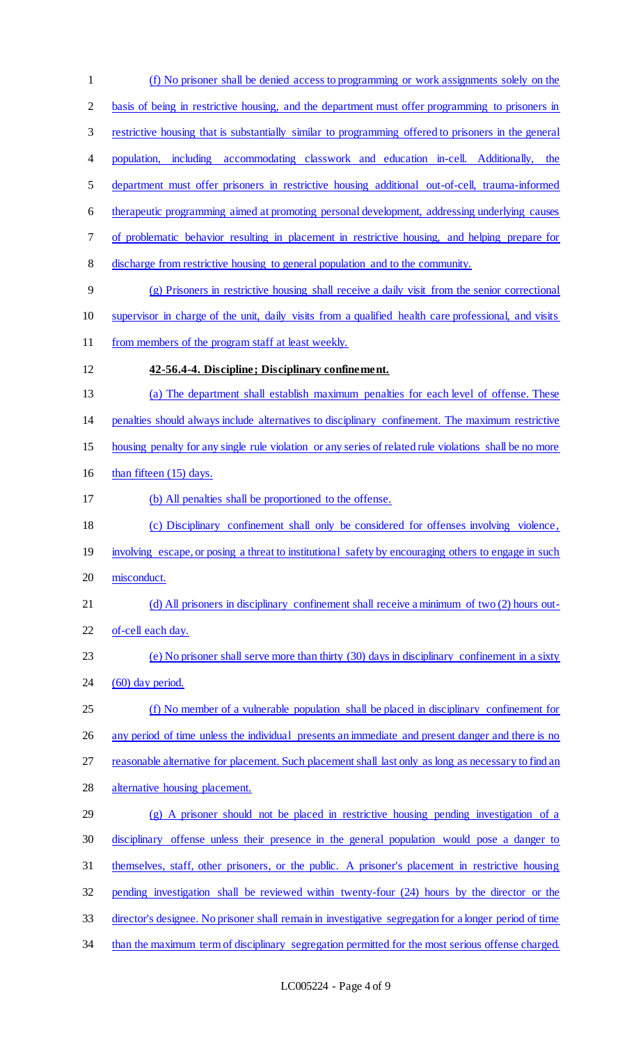(f) No prisoner shall be denied access to programming or work assignments solely on the 2 basis of being in restrictive housing, and the department must offer programming to prisoners in restrictive housing that is substantially similar to programming offered to prisoners in the general population, including accommodating classwork and education in-cell. Additionally, the department must offer prisoners in restrictive housing additional out-of-cell, trauma-informed therapeutic programming aimed at promoting personal development, addressing underlying causes of problematic behavior resulting in placement in restrictive housing, and helping prepare for discharge from restrictive housing to general population and to the community. (g) Prisoners in restrictive housing shall receive a daily visit from the senior correctional supervisor in charge of the unit, daily visits from a qualified health care professional, and visits 11 from members of the program staff at least weekly. **42-56.4-4. Discipline; Disciplinary confinement.**  (a) The department shall establish maximum penalties for each level of offense. These penalties should always include alternatives to disciplinary confinement. The maximum restrictive housing penalty for any single rule violation or any series of related rule violations shall be no more 16 than fifteen (15) days. (b) All penalties shall be proportioned to the offense. (c) Disciplinary confinement shall only be considered for offenses involving violence, 19 involving escape, or posing a threat to institutional safety by encouraging others to engage in such misconduct. 21 (d) All prisoners in disciplinary confinement shall receive a minimum of two (2) hours out- of-cell each day. (e) No prisoner shall serve more than thirty (30) days in disciplinary confinement in a sixty 24 (60) day period. (f) No member of a vulnerable population shall be placed in disciplinary confinement for 26 any period of time unless the individual presents an immediate and present danger and there is no reasonable alternative for placement. Such placement shall last only as long as necessary to find an alternative housing placement. (g) A prisoner should not be placed in restrictive housing pending investigation of a disciplinary offense unless their presence in the general population would pose a danger to themselves, staff, other prisoners, or the public. A prisoner's placement in restrictive housing pending investigation shall be reviewed within twenty-four (24) hours by the director or the director's designee. No prisoner shall remain in investigative segregation for a longer period of time 34 than the maximum term of disciplinary segregation permitted for the most serious offense charged.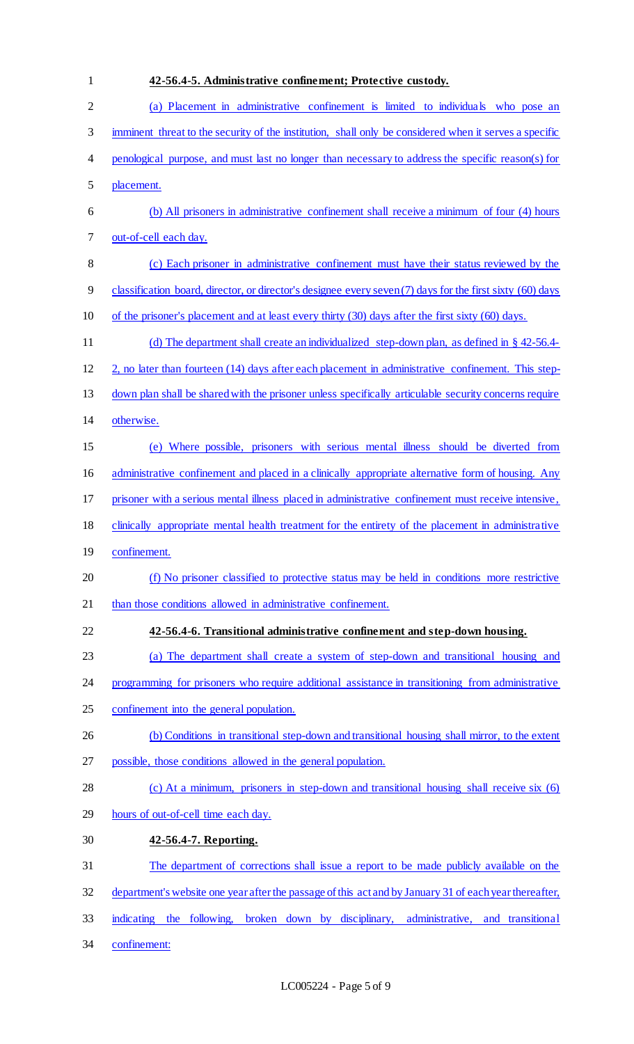| $\mathbf{1}$   | 42-56.4-5. Administrative confinement; Protective custody.                                                |
|----------------|-----------------------------------------------------------------------------------------------------------|
| $\overline{c}$ | (a) Placement in administrative confinement is limited to individuals who pose an                         |
| $\mathfrak{Z}$ | imminent threat to the security of the institution, shall only be considered when it serves a specific    |
| $\overline{4}$ | penological purpose, and must last no longer than necessary to address the specific reason(s) for         |
| 5              | placement.                                                                                                |
| 6              | (b) All prisoners in administrative confinement shall receive a minimum of four (4) hours                 |
| 7              | out-of-cell each day.                                                                                     |
| $8\,$          | (c) Each prisoner in administrative confinement must have their status reviewed by the                    |
| 9              | classification board, director, or director's designee every seven (7) days for the first sixty (60) days |
| 10             | of the prisoner's placement and at least every thirty (30) days after the first sixty (60) days.          |
| 11             | (d) The department shall create an individualized step-down plan, as defined in $\S$ 42-56.4-             |
| 12             | 2, no later than fourteen (14) days after each placement in administrative confinement. This step-        |
| 13             | down plan shall be shared with the prisoner unless specifically articulable security concerns require     |
| 14             | otherwise.                                                                                                |
| 15             | (e) Where possible, prisoners with serious mental illness should be diverted from                         |
| 16             | administrative confinement and placed in a clinically appropriate alternative form of housing. Any        |
| 17             | prisoner with a serious mental illness placed in administrative confinement must receive intensive,       |
| 18             | clinically appropriate mental health treatment for the entirety of the placement in administrative        |
| 19             | confinement.                                                                                              |
| 20             | (f) No prisoner classified to protective status may be held in conditions more restrictive                |
| 21             | than those conditions allowed in administrative confinement.                                              |
| 22             | 42-56.4-6. Transitional administrative confinement and step-down housing.                                 |
| 23             | (a) The department shall create a system of step-down and transitional housing and                        |
| 24             | programming for prisoners who require additional assistance in transitioning from administrative          |
| 25             | confinement into the general population.                                                                  |
| 26             | (b) Conditions in transitional step-down and transitional housing shall mirror, to the extent             |
| 27             | possible, those conditions allowed in the general population.                                             |
| 28             | (c) At a minimum, prisoners in step-down and transitional housing shall receive six (6)                   |
| 29             | hours of out-of-cell time each day.                                                                       |
| 30             | 42-56.4-7. Reporting.                                                                                     |
| 31             | The department of corrections shall issue a report to be made publicly available on the                   |
| 32             | department's website one year after the passage of this act and by January 31 of each year thereafter,    |
| 33             | indicating the following, broken down by disciplinary, administrative, and transitional                   |
| 34             | confinement:                                                                                              |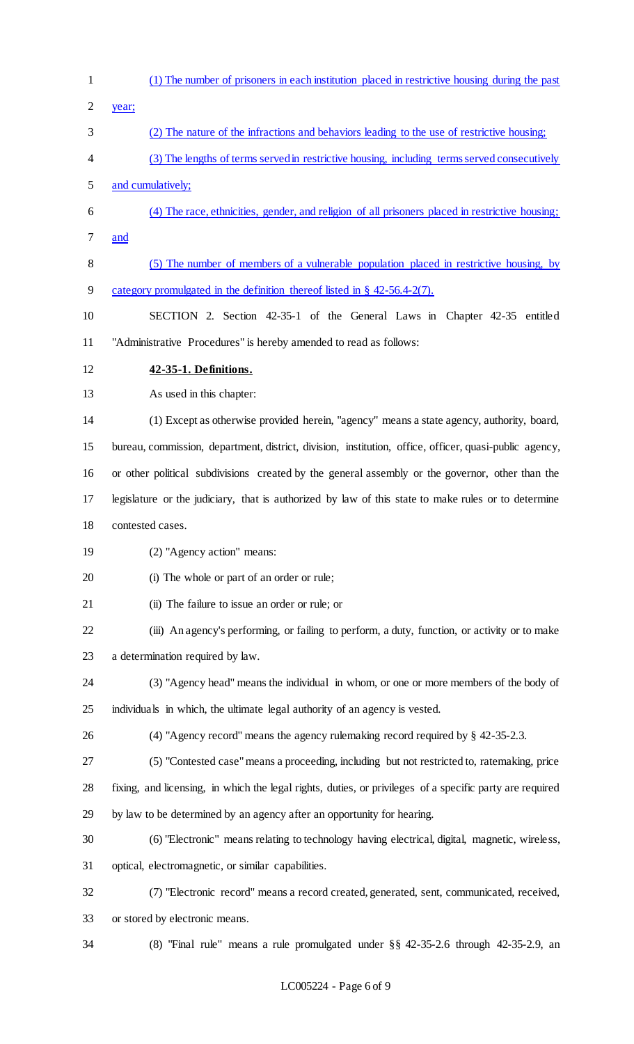- (1) The number of prisoners in each institution placed in restrictive housing during the past
- year;
- (2) The nature of the infractions and behaviors leading to the use of restrictive housing;
- (3) The lengths of terms served in restrictive housing, including terms served consecutively and cumulatively;
- (4) The race, ethnicities, gender, and religion of all prisoners placed in restrictive housing; and
- (5) The number of members of a vulnerable population placed in restrictive housing, by category promulgated in the definition thereof listed in § 42-56.4-2(7).
- SECTION 2. Section 42-35-1 of the General Laws in Chapter 42-35 entitled "Administrative Procedures" is hereby amended to read as follows:
- **42-35-1. Definitions.**

As used in this chapter:

 (1) Except as otherwise provided herein, "agency" means a state agency, authority, board, bureau, commission, department, district, division, institution, office, officer, quasi-public agency, or other political subdivisions created by the general assembly or the governor, other than the legislature or the judiciary, that is authorized by law of this state to make rules or to determine

- contested cases.
- (2) "Agency action" means:

(i) The whole or part of an order or rule;

(ii) The failure to issue an order or rule; or

 (iii) An agency's performing, or failing to perform, a duty, function, or activity or to make a determination required by law.

- (3) "Agency head" means the individual in whom, or one or more members of the body of individuals in which, the ultimate legal authority of an agency is vested.
- (4) "Agency record" means the agency rulemaking record required by § 42-35-2.3.
- (5) "Contested case" means a proceeding, including but not restricted to, ratemaking, price
- fixing, and licensing, in which the legal rights, duties, or privileges of a specific party are required
- by law to be determined by an agency after an opportunity for hearing.
- (6) "Electronic" means relating to technology having electrical, digital, magnetic, wireless, optical, electromagnetic, or similar capabilities.
- 
- (7) "Electronic record" means a record created, generated, sent, communicated, received, or stored by electronic means.
- 

(8) "Final rule" means a rule promulgated under §§ 42-35-2.6 through 42-35-2.9, an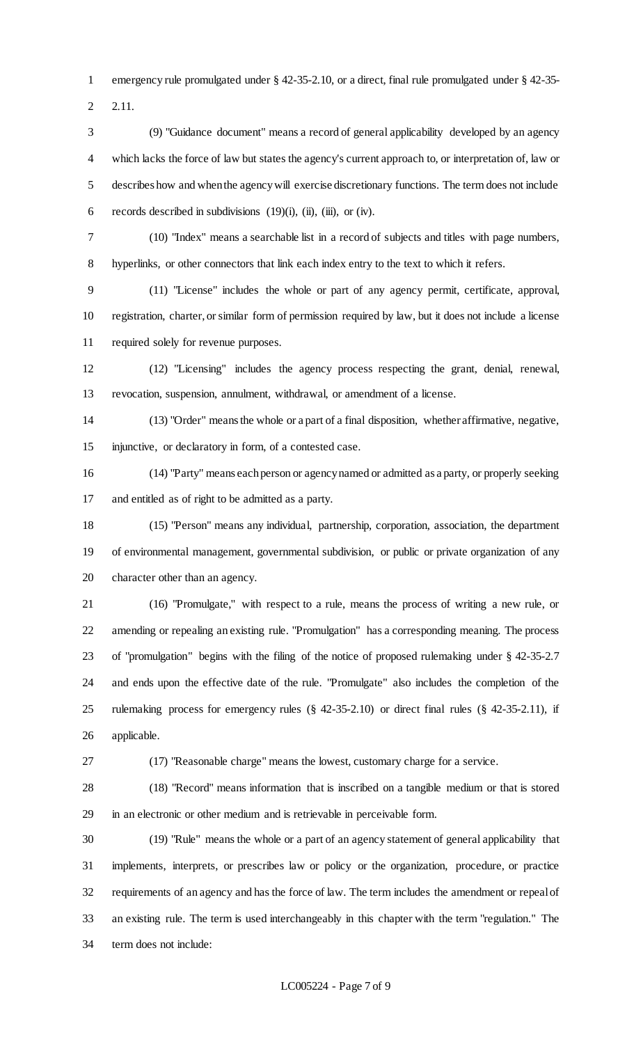emergency rule promulgated under § 42-35-2.10, or a direct, final rule promulgated under § 42-35-

2.11.

 (9) "Guidance document" means a record of general applicability developed by an agency which lacks the force of law but states the agency's current approach to, or interpretation of, law or describes how and when the agency will exercise discretionary functions. The term does not include 6 records described in subdivisions  $(19)(i)$ ,  $(ii)$ ,  $(iii)$ , or  $(iv)$ .

(10) "Index" means a searchable list in a record of subjects and titles with page numbers,

hyperlinks, or other connectors that link each index entry to the text to which it refers.

 (11) "License" includes the whole or part of any agency permit, certificate, approval, registration, charter, or similar form of permission required by law, but it does not include a license required solely for revenue purposes.

 (12) "Licensing" includes the agency process respecting the grant, denial, renewal, revocation, suspension, annulment, withdrawal, or amendment of a license.

 (13) "Order" means the whole or a part of a final disposition, whether affirmative, negative, injunctive, or declaratory in form, of a contested case.

 (14) "Party" means each person or agency named or admitted as a party, or properly seeking and entitled as of right to be admitted as a party.

 (15) "Person" means any individual, partnership, corporation, association, the department of environmental management, governmental subdivision, or public or private organization of any character other than an agency.

 (16) "Promulgate," with respect to a rule, means the process of writing a new rule, or amending or repealing an existing rule. "Promulgation" has a corresponding meaning. The process of "promulgation" begins with the filing of the notice of proposed rulemaking under § 42-35-2.7 and ends upon the effective date of the rule. "Promulgate" also includes the completion of the rulemaking process for emergency rules (§ 42-35-2.10) or direct final rules (§ 42-35-2.11), if applicable.

(17) "Reasonable charge" means the lowest, customary charge for a service.

 (18) "Record" means information that is inscribed on a tangible medium or that is stored in an electronic or other medium and is retrievable in perceivable form.

 (19) "Rule" means the whole or a part of an agency statement of general applicability that implements, interprets, or prescribes law or policy or the organization, procedure, or practice requirements of an agency and has the force of law. The term includes the amendment or repeal of an existing rule. The term is used interchangeably in this chapter with the term "regulation." The term does not include: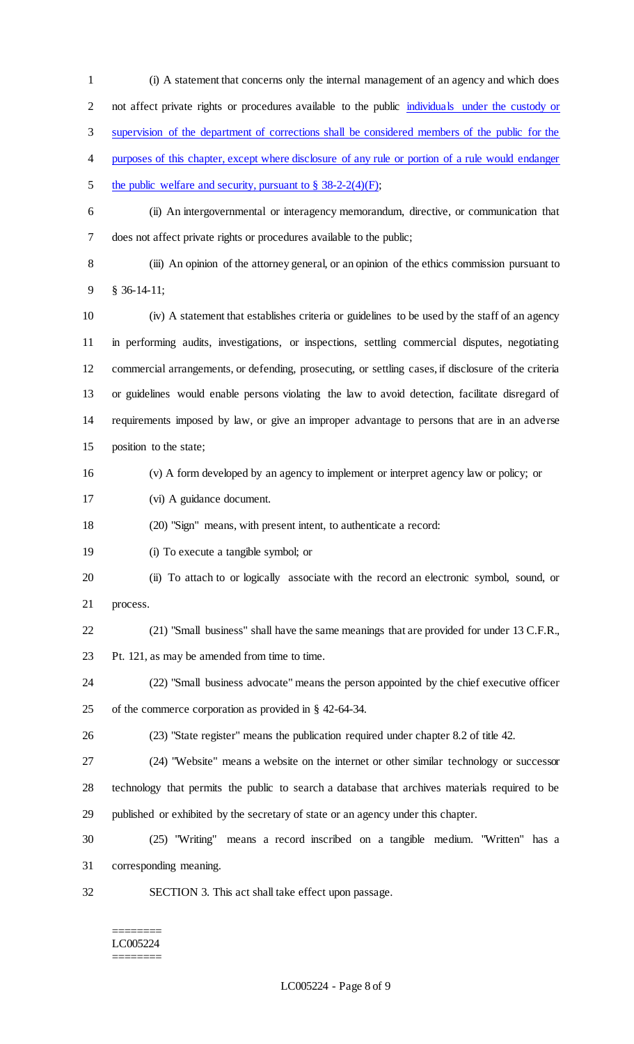(i) A statement that concerns only the internal management of an agency and which does not affect private rights or procedures available to the public individuals under the custody or supervision of the department of corrections shall be considered members of the public for the 4 purposes of this chapter, except where disclosure of any rule or portion of a rule would endanger 5 the public welfare and security, pursuant to  $\S$  38-2-2(4)(F); (ii) An intergovernmental or interagency memorandum, directive, or communication that does not affect private rights or procedures available to the public; (iii) An opinion of the attorney general, or an opinion of the ethics commission pursuant to § 36-14-11; (iv) A statement that establishes criteria or guidelines to be used by the staff of an agency in performing audits, investigations, or inspections, settling commercial disputes, negotiating commercial arrangements, or defending, prosecuting, or settling cases, if disclosure of the criteria or guidelines would enable persons violating the law to avoid detection, facilitate disregard of requirements imposed by law, or give an improper advantage to persons that are in an adverse position to the state; (v) A form developed by an agency to implement or interpret agency law or policy; or (vi) A guidance document. (20) "Sign" means, with present intent, to authenticate a record: (i) To execute a tangible symbol; or (ii) To attach to or logically associate with the record an electronic symbol, sound, or process. (21) "Small business" shall have the same meanings that are provided for under 13 C.F.R., Pt. 121, as may be amended from time to time. (22) "Small business advocate" means the person appointed by the chief executive officer of the commerce corporation as provided in § 42-64-34. (23) "State register" means the publication required under chapter 8.2 of title 42. (24) "Website" means a website on the internet or other similar technology or successor technology that permits the public to search a database that archives materials required to be published or exhibited by the secretary of state or an agency under this chapter. (25) "Writing" means a record inscribed on a tangible medium. "Written" has a corresponding meaning. SECTION 3. This act shall take effect upon passage.

#### ======== LC005224 ========